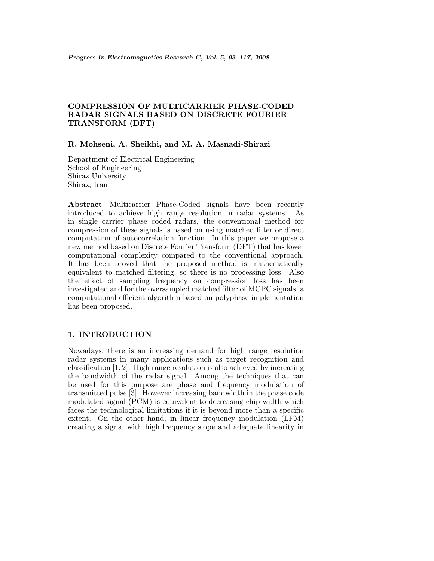# **COMPRESSION OF MULTICARRIER PHASE-CODED RADAR SIGNALS BASED ON DISCRETE FOURIER TRANSFORM (DFT)**

#### **R. Mohseni, A. Sheikhi, and M. A. Masnadi-Shirazi**

Department of Electrical Engineering School of Engineering Shiraz University Shiraz, Iran

**Abstract**—Multicarrier Phase-Coded signals have been recently introduced to achieve high range resolution in radar systems. As in single carrier phase coded radars, the conventional method for compression of these signals is based on using matched filter or direct computation of autocorrelation function. In this paper we propose a new method based on Discrete Fourier Transform (DFT) that has lower computational complexity compared to the conventional approach. It has been proved that the proposed method is mathematically equivalent to matched filtering, so there is no processing loss. Also the effect of sampling frequency on compression loss has been investigated and for the oversampled matched filter of MCPC signals, a computational efficient algorithm basedon polyphase implementation has been proposed.

### **1. INTRODUCTION**

Nowadays, there is an increasing demand for high range resolution radar systems in many applications such as target recognition and classification  $[1, 2]$ . High range resolution is also achieved by increasing the bandwidth of the radar signal. Among the techniques that can be used for this purpose are phase and frequency modulation of transmitted pulse [3]. However increasing bandwidth in the phase code modulated signal (PCM) is equivalent to decreasing chip width which faces the technological limitations if it is beyond more than a specific extent. On the other hand, in linear frequency modulation (LFM) creating a signal with high frequency slope andadequate linearity in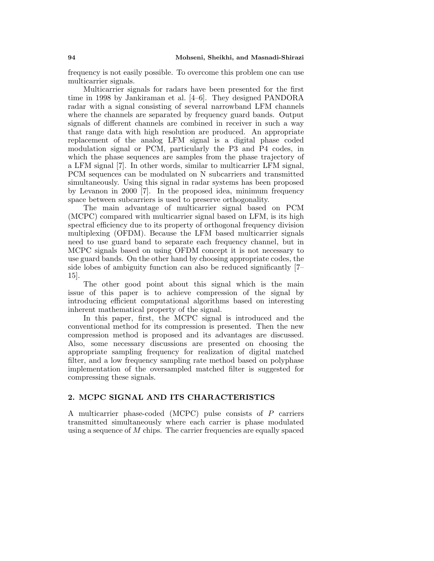frequency is not easily possible. To overcome this problem one can use multicarrier signals.

Multicarrier signals for radars have been presented for the first time in 1998 by Jankiraman et al. [4–6]. They designed PANDORA radar with a signal consisting of several narrowband LFM channels where the channels are separated by frequency guard bands. Output signals of different channels are combined in receiver in such a way that range data with high resolution are produced. An appropriate replacement of the analog LFM signal is a digital phase coded modulation signal or PCM, particularly the P3 and P4 codes, in which the phase sequences are samples from the phase trajectory of a LFM signal [7]. In other words, similar to multicarrier LFM signal, PCM sequences can be modulated on N subcarriers and transmitted simultaneously. Using this signal in radar systems has been proposed by Levanon in 2000 [7]. In the proposed idea, minimum frequency space between subcarriers is used to preserve orthogonality.

The main advantage of multicarrier signal based on PCM (MCPC) compared with multicarrier signal based on LFM, is its high spectral efficiency due to its property of orthogonal frequency division multiplexing (OFDM). Because the LFM based multicarrier signals need to use guard band to separate each frequency channel, but in MCPC signals based on using OFDM concept it is not necessary to use guard bands. On the other hand by choosing appropriate codes, the side lobes of ambiguity function can also be reduced significantly [7– 15].

The other good point about this signal which is the main issue of this paper is to achieve compression of the signal by introducing efficient computational algorithms based on interesting inherent mathematical property of the signal.

In this paper, first, the MCPC signal is introduced and the conventional method for its compression is presented. Then the new compression method is proposed and its advantages are discussed. Also, some necessary discussions are presented on choosing the appropriate sampling frequency for realization of digital matched filter, and a low frequency sampling rate method based on polyphase implementation of the oversampled matched filter is suggested for compressing these signals.

### **2. MCPC SIGNAL AND ITS CHARACTERISTICS**

A multicarrier phase-coded (MCPC) pulse consists of P carriers transmitted simultaneously where each carrier is phase modulated using a sequence of M chips. The carrier frequencies are equally spaced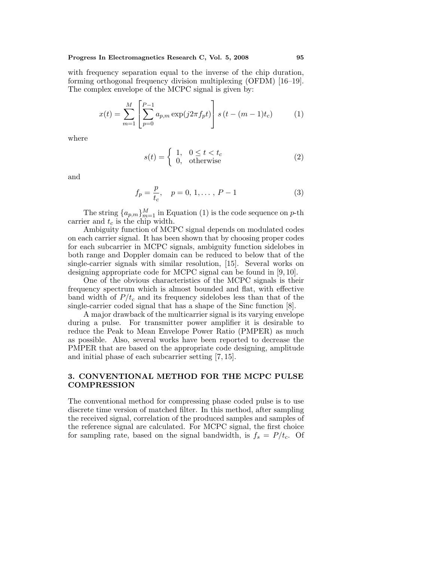with frequency separation equal to the inverse of the chip duration, forming orthogonal frequency division multiplexing (OFDM) [16–19]. The complex envelope of the MCPC signal is given by:

$$
x(t) = \sum_{m=1}^{M} \left[ \sum_{p=0}^{P-1} a_{p,m} \exp(j2\pi f_p t) \right] s(t - (m-1)t_c)
$$
 (1)

where

$$
s(t) = \begin{cases} 1, & 0 \le t < t_c \\ 0, & \text{otherwise} \end{cases}
$$
 (2)

and

$$
f_p = \frac{p}{t_c}, \quad p = 0, 1, \dots, P - 1 \tag{3}
$$

The string  ${a_{p,m}}_{m=1}^M$  in Equation (1) is the code sequence on p-th carrier and  $t_c$  is the chip width.

Ambiguity function of MCPC signal depends on modulated codes on each carrier signal. It has been shown that by choosing proper codes for each subcarrier in MCPC signals, ambiguity function sidelobes in both range and Doppler domain can be reduced to below that of the single-carrier signals with similar resolution, [15]. Several works on designing appropriate code for MCPC signal can be found in [9, 10].

One of the obvious characteristics of the MCPC signals is their frequency spectrum which is almost bounded and flat, with effective band width of  $P/t_c$  and its frequency sidelobes less than that of the single-carrier coded signal that has a shape of the Sinc function [8].

A major drawback of the multicarrier signal is its varying envelope during a pulse. For transmitter power amplifier it is desirable to reduce the Peak to Mean Envelope Power Ratio (PMPER) as much as possible. Also, several works have been reported to decrease the PMPER that are based on the appropriate code designing, amplitude and initial phase of each subcarrier setting  $(7, 15)$ .

#### **3. CONVENTIONAL METHOD FOR THE MCPC PULSE COMPRESSION**

The conventional method for compressing phase coded pulse is to use discrete time version of matched filter. In this method, after sampling the received signal, correlation of the produced samples and samples of the reference signal are calculated. For MCPC signal, the first choice for sampling rate, based on the signal bandwidth, is  $f_s = P/t_c$ . Of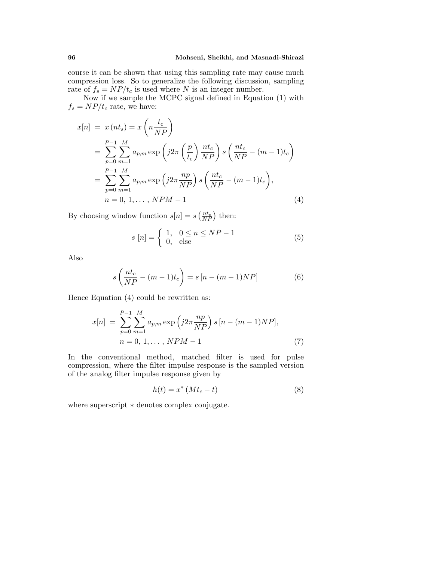course it can be shown that using this sampling rate may cause much compression loss. So to generalize the following discussion, sampling rate of  $f_s = NP/t_c$  is used where N is an integer number.

Now if we sample the MCPC signal defined in Equation (1) with  $f_s = NP/t_c$  rate, we have:

$$
x[n] = x(nt_s) = x\left(n\frac{t_c}{NP}\right)
$$
  
= 
$$
\sum_{p=0}^{P-1} \sum_{m=1}^{M} a_{p,m} \exp\left(j2\pi\left(\frac{p}{t_c}\right) \frac{nt_c}{NP}\right) s\left(\frac{nt_c}{NP} - (m-1)t_c\right)
$$
  
= 
$$
\sum_{p=0}^{P-1} \sum_{m=1}^{M} a_{p,m} \exp\left(j2\pi \frac{np}{NP}\right) s\left(\frac{nt_c}{NP} - (m-1)t_c\right),
$$
  

$$
n = 0, 1, ..., NPM - 1
$$
 (4)

By choosing window function  $s[n] = s\left(\frac{nt_c}{NP}\right)$  then:

$$
s[n] = \begin{cases} 1, & 0 \le n \le NP - 1 \\ 0, & \text{else} \end{cases} \tag{5}
$$

Also

$$
s\left(\frac{nt_c}{NP} - (m-1)t_c\right) = s[n - (m-1)NP]
$$
 (6)

Hence Equation  $(4)$  could be rewritten as:

$$
x[n] = \sum_{p=0}^{P-1} \sum_{m=1}^{M} a_{p,m} \exp\left(j2\pi \frac{np}{NP}\right) s\left[n - (m-1)NP\right],
$$
  
\n
$$
n = 0, 1, ..., NPM - 1
$$
 (7)

In the conventional method, matched filter is used for pulse compression, where the filter impulse response is the sampled version of the analog filter impulse response given by

$$
h(t) = x^* \left( M t_c - t \right) \tag{8}
$$

where superscript  $*$  denotes complex conjugate.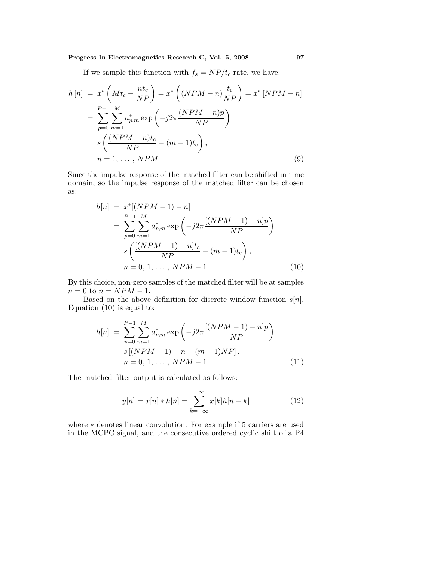# **Progress In Electromagnetics Research C, Vol. 5, 2008 97**

If we sample this function with  $f_s = NP/t_c$  rate, we have:

$$
h[n] = x^* \left( Mt_c - \frac{nt_c}{NP} \right) = x^* \left( (NPM - n) \frac{t_c}{NP} \right) = x^* \left[ NPM - n \right]
$$

$$
= \sum_{p=0}^{P-1} \sum_{m=1}^{M} a_{p,m}^* \exp \left( -j2\pi \frac{(NPM - n)p}{NP} \right)
$$

$$
s \left( \frac{(NPM - n)t_c}{NP} - (m - 1)t_c \right),
$$

$$
n = 1, \dots, NPM \tag{9}
$$

Since the impulse response of the matched filter can be shifted in time domain, so the impulse response of the matched filter can be chosen as:

$$
h[n] = x^*[(NPM - 1) - n]
$$
  
= 
$$
\sum_{p=0}^{P-1} \sum_{m=1}^{M} a_{p,m}^* \exp\left(-j2\pi \frac{[(NPM - 1) - n]p}{NP}\right)
$$
  

$$
s\left(\frac{[(NPM - 1) - n]t_c}{NP} - (m - 1)t_c\right),
$$
  

$$
n = 0, 1, ..., NPM - 1
$$
 (10)

By this choice, non-zero samples of the matched filter will be at samples  $n = 0$  to  $n = NPM - 1$ .

Based on the above definition for discrete window function  $s[n]$ , Equation (10) is equal to:

$$
h[n] = \sum_{p=0}^{P-1} \sum_{m=1}^{M} a_{p,m}^{*} \exp\left(-j2\pi \frac{[(NPM - 1) - n]p}{NP}\right)
$$
  

$$
s[(NPM - 1) - n - (m - 1)NP],
$$
  

$$
n = 0, 1, ..., NPM - 1
$$
 (11)

The matched filter output is calculated as follows:

$$
y[n] = x[n] * h[n] = \sum_{k=-\infty}^{+\infty} x[k]h[n-k]
$$
 (12)

where ∗ denotes linear convolution. For example if 5 carriers are used in the MCPC signal, and the consecutive ordered cyclic shift of a P4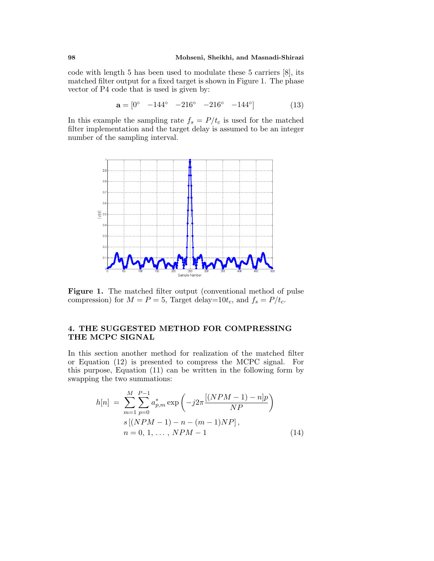code with length 5 has been used to modulate these 5 carriers [8], its matched filter output for a fixed target is shown in Figure 1. The phase vector of P4 code that is used is given by:

$$
\mathbf{a} = \begin{bmatrix} 0^{\circ} & -144^{\circ} & -216^{\circ} & -216^{\circ} & -144^{\circ} \end{bmatrix} \tag{13}
$$

In this example the sampling rate  $f_s = P/t_c$  is used for the matched filter implementation and the target delay is assumed to be an integer number of the sampling interval.



Figure 1. The matched filter output (conventional method of pulse compression) for  $M = P = 5$ , Target delay=10t<sub>c</sub>, and  $f_s = P/t_c$ .

### **4. THE SUGGESTED METHOD FOR COMPRESSING THE MCPC SIGNAL**

In this section another method for realization of the matched filter or Equation  $(12)$  is presented to compress the MCPC signal. For this purpose, Equation (11) can be written in the following form by swapping the two summations:

$$
h[n] = \sum_{m=1}^{M} \sum_{p=0}^{P-1} a_{p,m}^{*} \exp\left(-j2\pi \frac{[(NPM - 1) - n]p}{NP}\right)
$$
  

$$
s[(NPM - 1) - n - (m - 1)NP],
$$
  

$$
n = 0, 1, ..., NPM - 1
$$
 (14)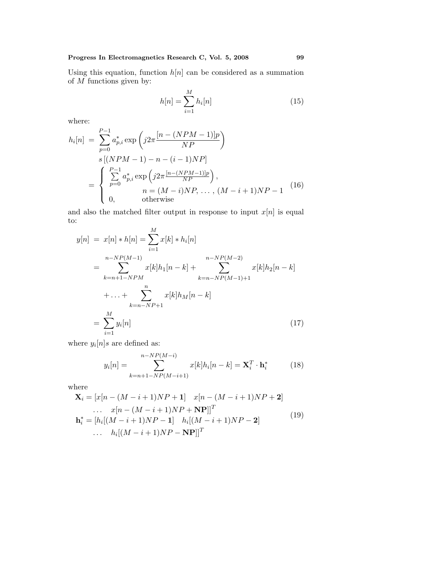Using this equation, function  $h[n]$  can be considered as a summation of  $M$  functions given by:

$$
h[n] = \sum_{i=1}^{M} h_i[n]
$$
 (15)

where:

$$
h_i[n] = \sum_{p=0}^{P-1} a_{p,i}^* \exp\left(j2\pi \frac{[n - (NPM - 1)]p}{NP}\right)
$$
  
\n
$$
s [(NPM - 1) - n - (i - 1)NP]
$$
  
\n
$$
= \begin{cases} \sum_{p=0}^{P-1} a_{p,i}^* \exp\left(j2\pi \frac{[n - (NPM - 1)]p}{NP}\right), \\ n = (M - i)NP, \dots, (M - i + 1)NP - 1 \\ 0, \qquad \text{otherwise} \end{cases}
$$
(16)

and also the matched filter output in response to input  $x[n]$  is equal to:

$$
y[n] = x[n] * h[n] = \sum_{i=1}^{M} x[k] * h_i[n]
$$
  
= 
$$
\sum_{k=n+1-NPM}^{n-NP(M-1)} x[k]h_1[n-k] + \sum_{k=n-NP(M-1)+1}^{n-NP(M-2)} x[k]h_2[n-k]
$$
  
+ ... + 
$$
\sum_{k=n-NP+1}^{n} x[k]h_M[n-k]
$$
  
= 
$$
\sum_{i=1}^{M} y_i[n]
$$
 (17)

where  $y_i[n]s$  are defined as:

$$
y_i[n] = \sum_{k=n+1-N}^{n-NP(M-i)} x[k]h_i[n-k] = \mathbf{X}_i^T \cdot \mathbf{h}_i^*
$$
 (18)

where

$$
\mathbf{X}_{i} = [x[n - (M - i + 1)NP + 1] \quad x[n - (M - i + 1)NP + 2] \n... \quad x[n - (M - i + 1)NP + NP]]^{T} \n\mathbf{h}_{i}^{*} = [h_{i}[(M - i + 1)NP - 1] \quad h_{i}[(M - i + 1)NP - 2] \n... \quad h_{i}[(M - i + 1)NP - NP]]^{T}
$$
\n(19)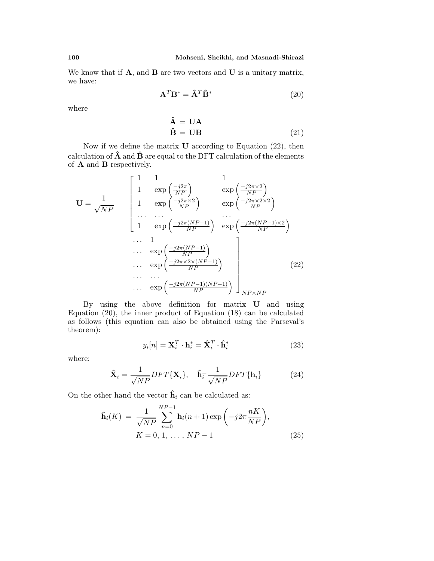We know that if **A**, and **B** are two vectors and **U** is a unitary matrix, we have:

$$
\mathbf{A}^T \mathbf{B}^* = \hat{\mathbf{A}}^T \hat{\mathbf{B}}^*
$$
 (20)

where

$$
\hat{\mathbf{A}} = \mathbf{U}\mathbf{A} \n\hat{\mathbf{B}} = \mathbf{U}\mathbf{B}
$$
\n(21)

Now if we define the matrix **U** according to Equation (22), then calculation of  $\hat{A}$  and  $\hat{B}$  are equal to the DFT calculation of the elements of **A** and **B** respectively.

$$
\mathbf{U} = \frac{1}{\sqrt{NP}} \begin{bmatrix} 1 & 1 & 1 & 1 \\ 1 & \exp\left(\frac{-j2\pi}{NP}\right) & \exp\left(\frac{-j2\pi\times2}{NP}\right) \\ 1 & \exp\left(\frac{-j2\pi\times2}{NP}\right) & \exp\left(\frac{-j2\pi\times2\times2}{NP}\right) \\ \dots & \dots & \dots & \dots \\ 1 & \exp\left(\frac{-j2\pi(NP-1)}{NP}\right) & \exp\left(\frac{-j2\pi(NP-1)\times2}{NP}\right) \\ \dots & \exp\left(\frac{-j2\pi(NP-1)}{NP}\right) & \exp\left(\frac{-j2\pi(NP-1)\times2}{NP}\right) \\ \dots & \exp\left(\frac{-j2\pi\times2\times(NP-1)}{NP}\right) & \dots \\ \dots & \exp\left(\frac{-j2\pi(NP-1)(NP-1)}{NP}\right) & \frac{N_{PNNP}}{NP}\end{bmatrix}
$$
 (22)

By using the above definition for matrix **U** andusing Equation (20), the inner product of Equation (18) can be calculated as follows (this equation can also be obtained using the Parseval's theorem):

$$
y_i[n] = \mathbf{X}_i^T \cdot \mathbf{h}_i^* = \hat{\mathbf{X}}_i^T \cdot \hat{\mathbf{h}}_i^*
$$
 (23)

where:

$$
\hat{\mathbf{X}}_i = \frac{1}{\sqrt{NP}} DFT\{\mathbf{X}_i\}, \quad \hat{\mathbf{h}}_i = \frac{1}{\sqrt{NP}} DFT\{\mathbf{h}_i\} \tag{24}
$$

On the other hand the vector  $\hat{\mathbf{h}}_i$  can be calculated as:

$$
\hat{\mathbf{h}}_i(K) = \frac{1}{\sqrt{NP}} \sum_{n=0}^{NP-1} \mathbf{h}_i(n+1) \exp\left(-j2\pi \frac{nK}{NP}\right), K = 0, 1, ..., NP - 1
$$
\n(25)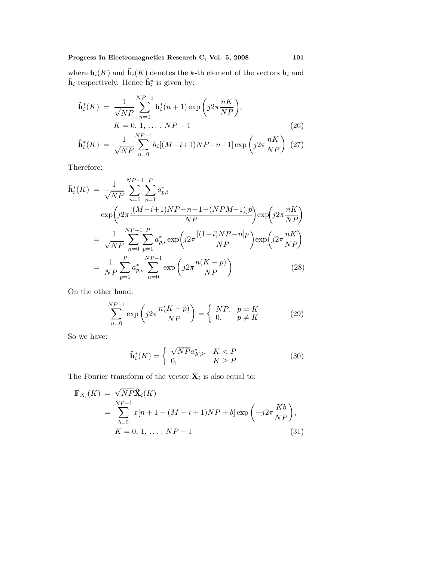where  $\mathbf{h}_i(K)$  and  $\hat{\mathbf{h}}_i(K)$  denotes the k-th element of the vectors  $\mathbf{h}_i$  and  $\hat{\mathbf{h}}_i$  respectively. Hence  $\hat{\mathbf{h}}_i^*$  is given by:

$$
\hat{\mathbf{h}}_{i}^{*}(K) = \frac{1}{\sqrt{NP}} \sum_{n=0}^{NP-1} \mathbf{h}_{i}^{*}(n+1) \exp\left(j2\pi \frac{nK}{NP}\right),
$$
\n
$$
K = 0, 1, ..., NP-1
$$
\n(26)

$$
\hat{\mathbf{h}}_i^*(K) \ = \ \frac{1}{\sqrt{NP}} \sum_{n=0}^{NP-1} h_i[(M-i+1)NP - n-1] \exp\left(j2\pi \frac{nK}{NP}\right) \tag{27}
$$

Therefore:

$$
\hat{\mathbf{h}}_{i}^{*}(K) = \frac{1}{\sqrt{NP}} \sum_{n=0}^{NP-1} \sum_{p=1}^{P} a_{p,i}^{*}
$$
\n
$$
\exp\left(j2\pi \frac{[(M-i+1)NP - n - 1 - (NPM-1)]p}{NP}\right) \exp\left(j2\pi \frac{nK}{NP}\right)
$$
\n
$$
= \frac{1}{\sqrt{NP}} \sum_{n=0}^{NP-1} \sum_{p=1}^{P} a_{p,i}^{*} \exp\left(j2\pi \frac{[(1-i)NP - n]p}{NP}\right) \exp\left(j2\pi \frac{nK}{NP}\right)
$$
\n
$$
= \frac{1}{NP} \sum_{p=1}^{P} a_{p,i}^{*} \sum_{n=0}^{NP-1} \exp\left(j2\pi \frac{n(K-p)}{NP}\right) \tag{28}
$$

On the other hand:

$$
\sum_{n=0}^{NP-1} \exp\left(j2\pi \frac{n(K-p)}{NP}\right) = \begin{cases} NP, & p = K\\ 0, & p \neq K \end{cases}
$$
 (29)

So we have:

$$
\mathbf{\hat{h}}_i^*(K) = \begin{cases} \sqrt{NP} a_{K,i}^*, & K < P \\ 0, & K \ge P \end{cases}
$$
 (30)

The Fourier transform of the vector  $\mathbf{X}_i$  is also equal to:

$$
\mathbf{F}_{X_i}(K) = \sqrt{NP} \hat{\mathbf{X}}_i(K)
$$
  
= 
$$
\sum_{b=0}^{NP-1} x[n+1 - (M-i+1)NP + b] \exp\left(-j2\pi \frac{Kb}{NP}\right),
$$
  

$$
K = 0, 1, ..., NP - 1
$$
 (31)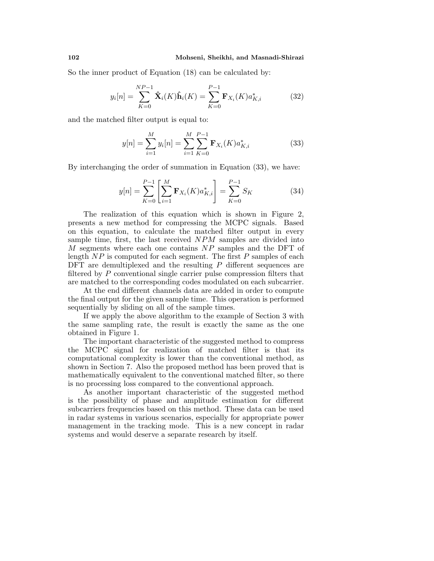So the inner product of Equation (18) can be calculated by:

$$
y_i[n] = \sum_{K=0}^{NP-1} \hat{\mathbf{X}}_i(K)\hat{\mathbf{h}}_i(K) = \sum_{K=0}^{P-1} \mathbf{F}_{X_i}(K)a_{K,i}^*
$$
(32)

and the matched filter output is equal to:

$$
y[n] = \sum_{i=1}^{M} y_i[n] = \sum_{i=1}^{M} \sum_{K=0}^{P-1} \mathbf{F}_{X_i}(K) a_{K,i}^*
$$
(33)

By interchanging the order of summation in Equation (33), we have:

$$
y[n] = \sum_{K=0}^{P-1} \left[ \sum_{i=1}^{M} \mathbf{F}_{X_i}(K) a_{K,i}^* \right] = \sum_{K=0}^{P-1} S_K \tag{34}
$$

The realization of this equation which is shown in Figure 2, presents a new method for compressing the MCPC signals. Based on this equation, to calculate the matched filter output in every sample time, first, the last received NPM samples are divided into  $M$  segments where each one contains  $NP$  samples and the DFT of length  $NP$  is computed for each segment. The first  $P$  samples of each DFT are demultiplexed and the resulting  $P$  different sequences are filtered by  $P$  conventional single carrier pulse compression filters that are matched to the corresponding codes modulated on each subcarrier.

At the end different channels data are added in order to compute the final output for the given sample time. This operation is performed sequentially by sliding on all of the sample times.

If we apply the above algorithm to the example of Section 3 with the same sampling rate, the result is exactly the same as the one obtained in Figure 1.

The important characteristic of the suggested method to compress the MCPC signal for realization of matched filter is that its computational complexity is lower than the conventional method, as shown in Section 7. Also the proposed method has been proved that is mathematically equivalent to the conventional matched filter, so there is no processing loss compared to the conventional approach.

As another important characteristic of the suggested method is the possibility of phase and amplitude estimation for different subcarriers frequencies based on this method. These data can be used in radar systems in various scenarios, especially for appropriate power management in the tracking mode. This is a new concept in radar systems and would deserve a separate research by itself.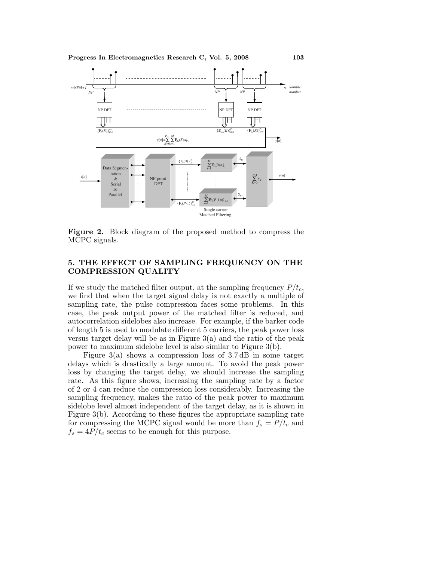

**Figure 2.** Block diagram of the proposed method to compress the MCPC signals.

### **5. THE EFFECT OF SAMPLING FREQUENCY ON THE COMPRESSION QUALITY**

If we study the matched filter output, at the sampling frequency  $P/t_c$ , we find that when the target signal delay is not exactly a multiple of sampling rate, the pulse compression faces some problems. In this case, the peak output power of the matched filter is reduced, and autocorrelation sidelobes also increase. For example, if the barker code of length 5 is used to modulate different 5 carriers, the peak power loss versus target delay will be as in Figure  $3(a)$  and the ratio of the peak power to maximum sidelobe level is also similar to Figure 3(b).

Figure 3(a) shows a compression loss of 3.7 dB in some target delays which is drastically a large amount. To avoid the peak power loss by changing the target delay, we should increase the sampling rate. As this figure shows, increasing the sampling rate by a factor of 2 or 4 can reduce the compression loss considerably. Increasing the sampling frequency, makes the ratio of the peak power to maximum sidelobe level almost independent of the target delay, as it is shown in Figure 3(b). According to these figures the appropriate sampling rate for compressing the MCPC signal would be more than  $f_s = P/t_c$  and  $f_s = 4P/t_c$  seems to be enough for this purpose.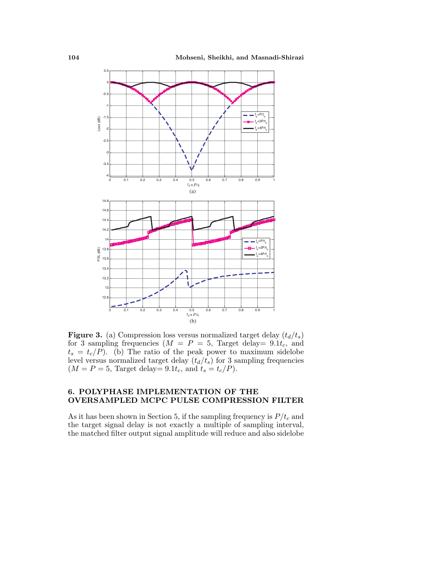

**Figure 3.** (a) Compression loss versus normalized target delay  $(t_d/t_s)$ for 3 sampling frequencies ( $M = P = 5$ , Target delay = 9.1t<sub>c</sub>, and  $t_s = t_c/P$ . (b) The ratio of the peak power to maximum sidelobe level versus normalized target delay  $(t_d/t_s)$  for 3 sampling frequencies  $(M = P = 5$ , Target delay = 9.1 $t_c$ , and  $t_s = t_c/P$ ).

### **6. POLYPHASE IMPLEMENTATION OF THE OVERSAMPLED MCPC PULSE COMPRESSION FILTER**

As it has been shown in Section 5, if the sampling frequency is  $P/t_c$  and the target signal delay is not exactly a multiple of sampling interval, the matched filter output signal amplitude will reduce and also sidelobe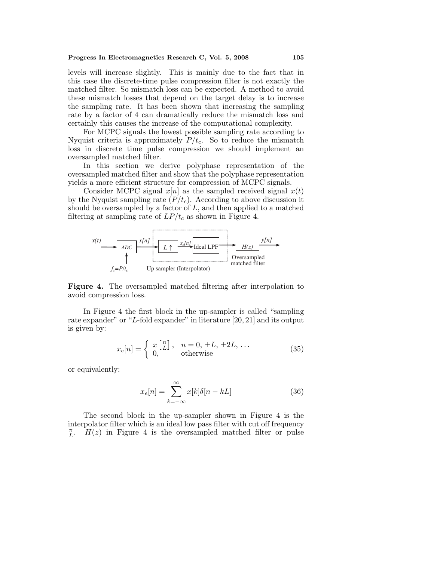levels will increase slightly. This is mainly due to the fact that in this case the discrete-time pulse compression filter is not exactly the matched filter. So mismatch loss can be expected. A method to avoid these mismatch losses that depend on the target delay is to increase the sampling rate. It has been shown that increasing the sampling rate by a factor of 4 can dramatically reduce the mismatch loss and certainly this causes the increase of the computational complexity.

For MCPC signals the lowest possible sampling rate according to Nyquist criteria is approximately  $P/t_c$ . So to reduce the mismatch loss in discrete time pulse compression we should implement an oversampled matched filter.

In this section we derive polyphase representation of the oversampled matched filter and show that the polyphase representation yields a more efficient structure for compression of MCPC signals.

Consider MCPC signal  $x[n]$  as the sampled received signal  $x(t)$ by the Nyquist sampling rate  $(P/t_c)$ . According to above discussion it should be oversampled by a factor of  $L$ , and then applied to a matched filtering at sampling rate of  $LP/t_c$  as shown in Figure 4.



**Figure 4.** The oversampled matched filtering after interpolation to avoid compression loss.

In Figure 4 the first block in the up-sampler is called"sampling rate expander" or "L-fold expander" in literature  $[20, 21]$  and its output is given by:

$$
x_e[n] = \begin{cases} x\left[\frac{n}{L}\right], & n = 0, \pm L, \pm 2L, \dots \\ 0, & \text{otherwise} \end{cases}
$$
 (35)

or equivalently:

$$
x_e[n] = \sum_{k=-\infty}^{\infty} x[k]\delta[n - k]
$$
 (36)

The second block in the up-sampler shown in Figure 4 is the interpolator filter which is an ideal low pass filter with cut off frequency  $\overline{L}$ .  $H(z)$  in Figure 4 is the oversampled matched filter or pulse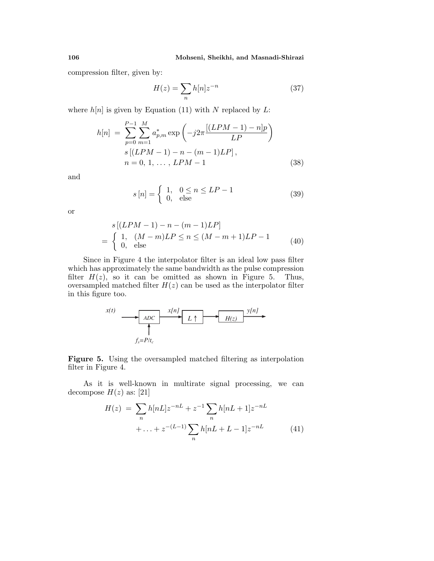compression filter, given by:

$$
H(z) = \sum_{n} h[n] z^{-n} \tag{37}
$$

where  $h[n]$  is given by Equation (11) with N replaced by L:

$$
h[n] = \sum_{p=0}^{P-1} \sum_{m=1}^{M} a_{p,m}^{*} \exp\left(-j2\pi \frac{[(LPM - 1) - n]p}{LP}\right)
$$
  
\n
$$
s[(LPM - 1) - n - (m - 1)LP],
$$
  
\n
$$
n = 0, 1, ..., LPM - 1
$$
 (38)

and

$$
s[n] = \begin{cases} 1, & 0 \le n \le LP - 1 \\ 0, & \text{else} \end{cases} \tag{39}
$$

or

$$
s [(LPM - 1) - n - (m - 1)LP]
$$
  
= 
$$
\begin{cases} 1, (M - m)LP \le n \le (M - m + 1)LP - 1 \\ 0, \text{ else} \end{cases}
$$
(40)

Since in Figure 4 the interpolator filter is an ideal low pass filter which has approximately the same bandwidth as the pulse compression filter  $H(z)$ , so it can be omitted as shown in Figure 5. Thus, oversampled matched filter  $H(z)$  can be used as the interpolator filter in this figure too.

$$
x(t) \longrightarrow ADC
$$
\n
$$
L \uparrow \longrightarrow H(z)
$$
\n
$$
f_s = P/t_c
$$
\n
$$
y[n]
$$

**Figure 5.** Using the oversampled matched filtering as interpolation filter in Figure 4.

As it is well-known in multirate signal processing, we can decompose  $H(z)$  as: [21]

$$
H(z) = \sum_{n} h[nL]z^{-nL} + z^{-1} \sum_{n} h[nL+1]z^{-nL} + \dots + z^{-(L-1)} \sum_{n} h[nL+L-1]z^{-nL}
$$
 (41)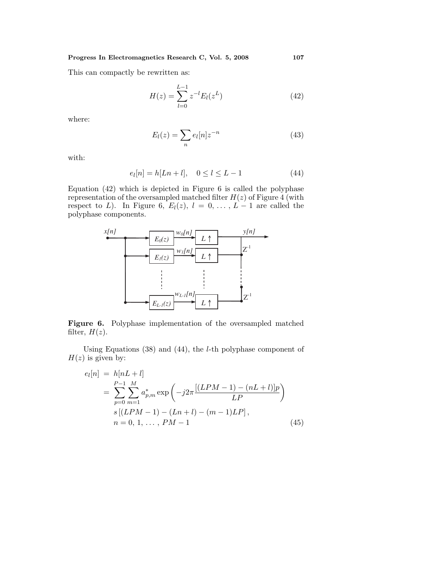This can compactly be rewritten as:

$$
H(z) = \sum_{l=0}^{L-1} z^{-l} E_l(z^L)
$$
\n(42)

where:

$$
E_l(z) = \sum_n e_l[n] z^{-n} \tag{43}
$$

with:

$$
e_l[n] = h[Ln + l], \quad 0 \le l \le L - 1 \tag{44}
$$

Equation  $(42)$  which is depicted in Figure 6 is called the polyphase representation of the oversampled matched filter  $H(z)$  of Figure 4 (with respect to L). In Figure 6,  $E_l(z)$ ,  $l = 0, \ldots, L-1$  are called the polyphase components.



Figure 6. Polyphase implementation of the oversampled matched filter,  $H(z)$ .

Using Equations  $(38)$  and  $(44)$ , the *l*-th polyphase component of  $H(z)$  is given by:

$$
e_l[n] = h[nL + l]
$$
  
= 
$$
\sum_{p=0}^{P-1} \sum_{m=1}^{M} a_{p,m}^* \exp\left(-j2\pi \frac{[(LPM - 1) - (nL + l)]p}{LP}\right)
$$
  
s 
$$
[(LPM - 1) - (Ln + l) - (m - 1)LP],
$$
  
n = 0, 1, ..., PM - 1 (45)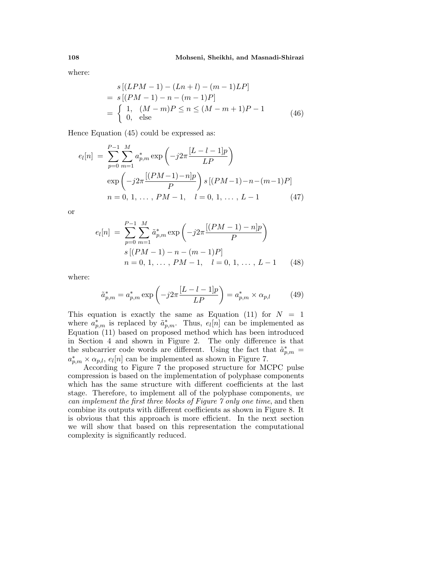where:

$$
s[(LPM - 1) - (Ln + l) - (m - 1)LP]
$$
  
=  $s[(PM - 1) - n - (m - 1)P]$   
=  $\begin{cases} 1, (M - m)P \le n \le (M - m + 1)P - 1 \\ 0, \text{ else} \end{cases}$  (46)

Hence Equation  $(45)$  could be expressed as:

$$
e_l[n] = \sum_{p=0}^{P-1} \sum_{m=1}^{M} a_{p,m}^* \exp\left(-j2\pi \frac{[L-l-1]p}{LP}\right)
$$
  
\n
$$
\exp\left(-j2\pi \frac{[(PM-1)-n]p}{P}\right) s [(PM-1)-n-(m-1)P]
$$
  
\n
$$
n = 0, 1, ..., PM-1, \quad l = 0, 1, ..., L-1
$$
 (47)

or

$$
e_l[n] = \sum_{p=0}^{P-1} \sum_{m=1}^{M} \tilde{a}_{p,m}^* \exp\left(-j2\pi \frac{[(PM-1)-n]p}{P}\right)
$$
  
\n
$$
s[(PM-1)-n-(m-1)P]
$$
  
\n
$$
n = 0, 1, ..., PM-1, \quad l = 0, 1, ..., L-1
$$
 (48)

where:

$$
\tilde{a}_{p,m}^* = a_{p,m}^* \exp\left(-j2\pi \frac{[L - l - 1]p}{LP}\right) = a_{p,m}^* \times \alpha_{p,l} \tag{49}
$$

This equation is exactly the same as Equation (11) for  $N = 1$ where  $a_{p,m}^*$  is replaced by  $\tilde{a}_{p,m}^*$ . Thus,  $e_l[n]$  can be implemented as Equation (11) based on proposed method which has been introduced in Section 4 and shown in Figure 2. The only difference is that the subcarrier code words are different. Using the fact that  $\tilde{a}_{p,m}^* =$  $a_{p,m}^* \times \alpha_{p,l}, e_l[n]$  can be implemented as shown in Figure 7.

According to Figure 7 the proposed structure for MCPC pulse compression is basedon the implementation of polyphase components which has the same structure with different coefficients at the last stage. Therefore, to implement all of the polyphase components, we can implement the first three blocks of Figure 7 only one time, and then combine its outputs with different coefficients as shown in Figure 8. It is obvious that this approach is more efficient. In the next section we will show that based on this representation the computational complexity is significantly reduced.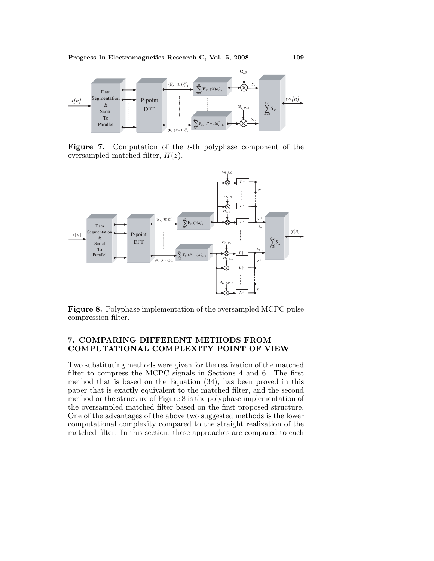

**Figure 7.** Computation of the l-th polyphase component of the oversampled matched filter,  $H(z)$ .



**Figure 8.** Polyphase implementation of the oversampled MCPC pulse compression filter.

# **7. COMPARING DIFFERENT METHODS FROM COMPUTATIONAL COMPLEXITY POINT OF VIEW**

Two substituting methods were given for the realization of the matched filter to compress the MCPC signals in Sections 4 and 6. The first method that is based on the Equation  $(34)$ , has been proved in this paper that is exactly equivalent to the matched filter, and the second method or the structure of Figure 8 is the polyphase implementation of the oversampled matched filter based on the first proposed structure. One of the advantages of the above two suggested methods is the lower computational complexity compared to the straight realization of the matched filter. In this section, these approaches are compared to each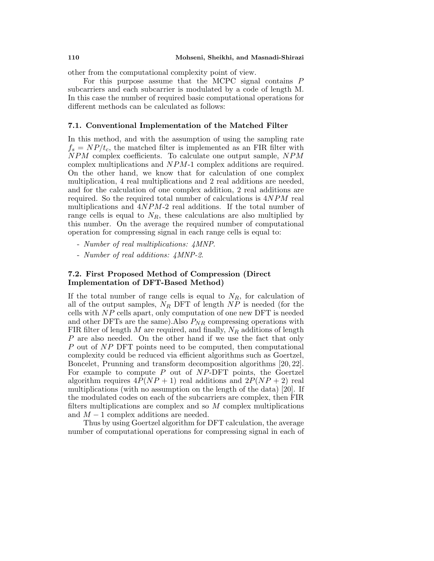other from the computational complexity point of view.

For this purpose assume that the MCPC signal contains P subcarriers and each subcarrier is modulated by a code of length M. In this case the number of required basic computational operations for different methods can be calculated as follows:

#### **7.1. Conventional Implementation of the Matched Filter**

In this method, and with the assumption of using the sampling rate  $f_s = NP/t_c$ , the matched filter is implemented as an FIR filter with NPM complex coefficients. To calculate one output sample, NPM complex multiplications and NPM-1 complex additions are required. On the other hand, we know that for calculation of one complex multiplication, 4 real multiplications and 2 real additions are needed, and for the calculation of one complex addition, 2 real additions are required. So the required total number of calculations is  $4NPM$  real multiplications and  $4NPM-2$  real additions. If the total number of range cells is equal to  $N_R$ , these calculations are also multiplied by this number. On the average the required number of computational operation for compressing signal in each range cells is equal to:

- Number of real multiplications: 4MNP.
- Number of real additions: 4MNP-2.

#### **7.2. First Proposed Method of Compression (Direct Implementation of DFT-Based Method)**

If the total number of range cells is equal to  $N_R$ , for calculation of all of the output samples,  $N_R$  DFT of length  $NP$  is needed (for the cells with  $NP$  cells apart, only computation of one new DFT is needed and other DFTs are the same). Also  $P_{NR}$  compressing operations with FIR filter of length M are required, and finally,  $N_R$  additions of length P are also needed. On the other hand if we use the fact that only  $P$  out of  $NP$  DFT points need to be computed, then computational complexity could be reduced via efficient algorithms such as Goertzel, Boncelet, Prunning and transform decomposition algorithms [20, 22]. For example to compute  $P$  out of  $NP-DFT$  points, the Goertzel algorithm requires  $4P(NP + 1)$  real additions and  $2P(NP + 2)$  real multiplications (with no assumption on the length of the data) [20]. If the modulated codes on each of the subcarriers are complex, then FIR filters multiplications are complex and so  $M$  complex multiplications and  $M-1$  complex additions are needed.

Thus by using Goertzel algorithm for DFT calculation, the average number of computational operations for compressing signal in each of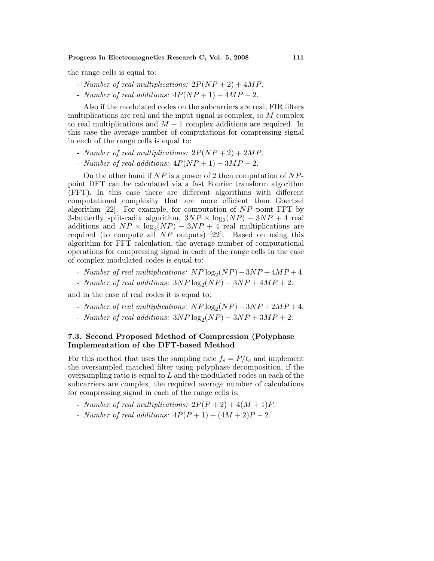the range cells is equal to:

- Number of real multiplications:  $2P(NP+2) + 4MP$ .
- Number of real additions:  $4P(NP+1) + 4MP 2$ .

Also if the modulated codes on the subcarriers are real, FIR filters multiplications are real and the input signal is complex, so  $M$  complex to real multiplications and  $M-1$  complex additions are required. In this case the average number of computations for compressing signal in each of the range cells is equal to:

- Number of real multiplications:  $2P(NP+2) + 2MP$ .
- Number of real additions:  $4P(NP+1) + 3MP 2$ .

On the other hand if  $NP$  is a power of 2 then computation of  $NP$ point DFT can be calculated via a fast Fourier transform algorithm (FFT). In this case there are different algorithms with different computational complexity that are more efficient than Goertzel algorithm  $[22]$ . For example, for computation of  $NP$  point FFT by 3-butterfly split-radix algorithm,  $3NP \times log_2(NP) - 3NP + 4$  real additions and  $NP \times log_2(NP) - 3NP + 4$  real multiplications are required (to compute all  $NP$  outputs) [22]. Based on using this algorithm for FFT calculation, the average number of computational operations for compressing signal in each of the range cells in the case of complex modulated codes is equal to:

- Number of real multiplications:  $NP \log_2(NP) 3NP + 4MP + 4$ .
- Number of real additions:  $3NP \log_2(NP) 3NP + 4MP + 2$ .

and in the case of real codes it is equal to:

- Number of real multiplications:  $NP \log_2(NP) 3NP + 2MP + 4$ .
- Number of real additions:  $3NP \log_2(NP) 3NP + 3MP + 2$ .

#### **7.3. Second Proposed Method of Compression (Polyphase Implementation of the DFT-based Method**

For this method that uses the sampling rate  $f_s = P/t_c$  and implement the oversampled matched filter using polyphase decomposition, if the oversampling ratio is equal to  $L$  and the modulated codes on each of the subcarriers are complex, the required average number of calculations for compressing signal in each of the range cells is:

- Number of real multiplications:  $2P(P+2) + 4(M+1)P$ .
- Number of real additions:  $4P(P+1) + (4M+2)P 2$ .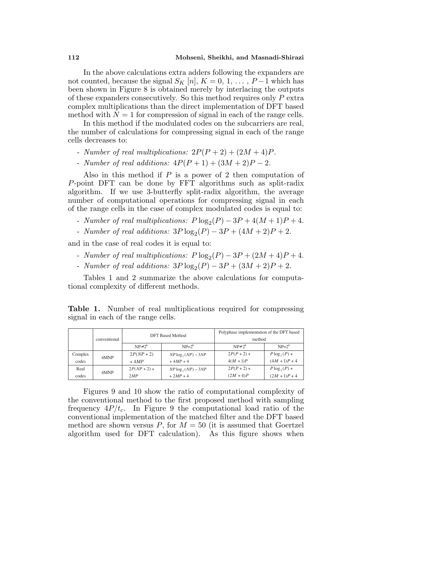In the above calculations extra adders following the expanders are not counted, because the signal  $S_K$  [n],  $K = 0, 1, \ldots, P-1$  which has been shown in Figure 8 is obtained merely by interlacing the outputs of these expanders consecutively. So this method requires only P extra complex multiplications than the direct implementation of DFT based method with  $N = 1$  for compression of signal in each of the range cells.

In this method if the modulated codes on the subcarriers are real, the number of calculations for compressing signal in each of the range cells decreases to:

- Number of real multiplications:  $2P(P+2) + (2M+4)P$ .
- Number of real additions:  $4P(P+1) + (3M+2)P 2$ .

Also in this method if  $P$  is a power of 2 then computation of P-point DFT can be done by FFT algorithms such as split-radix algorithm. If we use 3-butterfly split-radix algorithm, the average number of computational operations for compressing signal in each of the range cells in the case of complex modulated codes is equal to:

- Number of real multiplications:  $P \log_2(P) 3P + 4(M+1)P + 4$ .
- Number of real additions:  $3P \log_2(P) 3P + (4M + 2)P + 2$ .

and in the case of real codes it is equal to:

- Number of real multiplications:  $P \log_2(P) 3P + (2M + 4)P + 4$ .
- Number of real additions:  $3P \log_2(P) 3P + (3M + 2)P + 2$ .

Tables 1 and 2 summarize the above calculations for computational complexity of different methods.

**Table 1.** Number of real multiplications required for compressing signal in each of the range cells.

|         | conventional | <b>DFT</b> Based Method |                       | Polyphase implementation of the DFT based<br>method |                  |
|---------|--------------|-------------------------|-----------------------|-----------------------------------------------------|------------------|
|         |              | $NP \neq 2^k$           | $NP=2^k$              | $NP \neq 2^k$                                       | $NP=2^k$         |
| Complex | 4MNP         | $2P(NP + 2)$            | $NP \log_2(NP) - 3NP$ | $2P(P+2) +$                                         | $P\log_{2}(P)$ + |
| codes   |              | $+4MP$                  | $+4MP + 4$            | $4(M + 1)P$                                         | $(4M + 1)P + 4$  |
| Real    | 4MNP         | $2P(NP + 2) +$          | $NP \log_2(NP) - 3NP$ | $2P(P+2) +$                                         | $P\log_{2}(P) +$ |
| codes   |              | 2MP                     | $+2MP + 4$            | $(2M + 4)P$                                         | $(2M + 1)P + 4$  |

Figures 9 and 10 show the ratio of computational complexity of the conventional method to the first proposed method with sampling frequency  $4P/t_c$ . In Figure 9 the computational load ratio of the conventional implementation of the matched filter and the DFT based method are shown versus P, for  $M = 50$  (it is assumed that Goertzel algorithm used for DFT calculation). As this figure shows when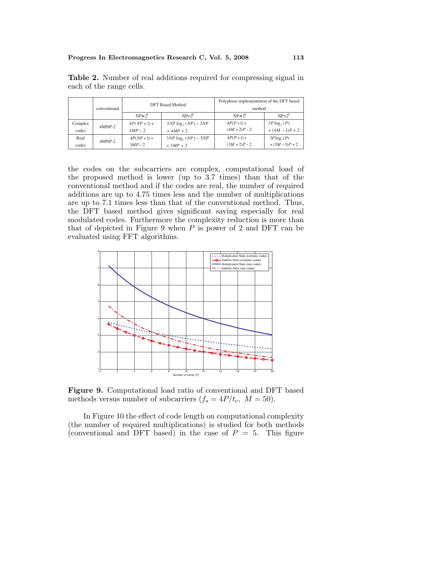|         | conventional | <b>DFT</b> Based Method |                         | Polyphase implementation of the DFT based<br>method |                |
|---------|--------------|-------------------------|-------------------------|-----------------------------------------------------|----------------|
|         |              | $NP \neq 2^k$           | $NP=2^k$                | $NP \neq 2^k$                                       | $NP=2^k$       |
| Complex | $4MNP-2$     | $4P(NP + 1) +$          | $3NP \log_2(NP) - 3NP$  | $4P(P+1) +$                                         | $3P \log_2(P)$ |
| codes   |              | $4MP - 2$               | $+4MP + 2$              | $(4M + 2)P - 2$                                     | $+(4M-1)P+2$   |
| Real    | $4MNP-2$     | $4P(NP+1) +$            | $3NP \log_2 (NP) - 3NP$ | $4P(P+1) +$                                         | $3P \log_2(P)$ |
| codes   |              | $3MP-2$                 | $+3MP + 2$              | $(3M + 2)P - 2$                                     | $+(3M-1)P+2$   |

**Table 2.** Number of real additions required for compressing signal in each of the range cells.

the codes on the subcarriers are complex, computational load of the proposed method is lower (up to 3.7 times) than that of the conventional method and if the codes are real, the number of required additions are up to 4.75 times less and the number of multiplications are up to 7.1 times less than that of the conventional method. Thus, the DFT based method gives significant saving especially for real modulated codes. Furthermore the complexity reduction is more than that of depicted in Figure 9 when  $P$  is power of 2 and DFT can be evaluated using FFT algorithms.



**Figure 9.** Computational load ratio of conventional and DFT based methods versus number of subcarriers  $(f_s = 4P/t_c, M = 50)$ .

In Figure 10 the effect of code length on computational complexity (the number of required multiplications) is studied for both methods (conventional and DFT based) in the case of  $P = 5$ . This figure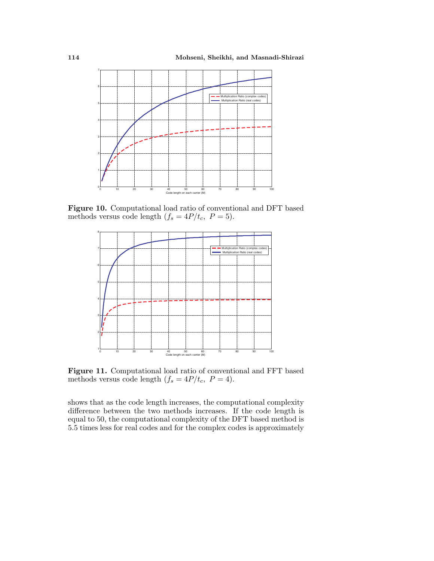

Figure 10. Computational load ratio of conventional and DFT based methods versus code length  $(f_s = 4P/t_c, P = 5)$ .



Figure 11. Computational load ratio of conventional and FFT based methods versus code length  $(f_s = 4P/t_c, P = 4)$ .

shows that as the code length increases, the computational complexity difference between the two methods increases. If the code length is equal to 50, the computational complexity of the DFT based method is 5.5 times less for real codes and for the complex codes is approximately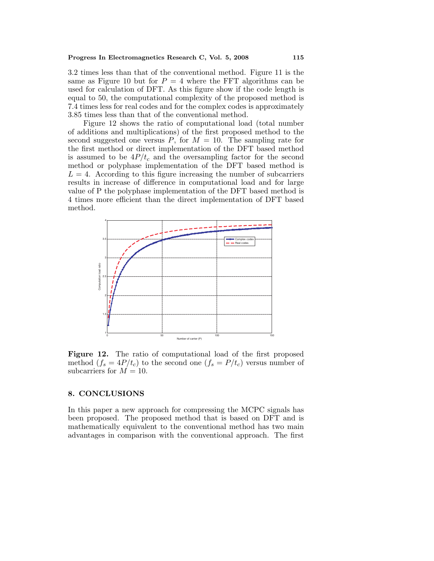3.2 times less than that of the conventional method. Figure 11 is the same as Figure 10 but for  $P = 4$  where the FFT algorithms can be used for calculation of DFT. As this figure show if the code length is equal to 50, the computational complexity of the proposed method is 7.4 times less for real codes and for the complex codes is approximately 3.85 times less than that of the conventional method.

Figure 12 shows the ratio of computational load (total number of additions and multiplications) of the first proposed method to the second suggested one versus  $P$ , for  $M = 10$ . The sampling rate for the first method or direct implementation of the DFT based method is assumed to be  $4P/t_c$  and the oversampling factor for the second method or polyphase implementation of the DFT based method is  $L = 4$ . According to this figure increasing the number of subcarriers results in increase of difference in computational load and for large value of P the polyphase implementation of the DFT based method is 4 times more efficient than the direct implementation of DFT based method.



Figure 12. The ratio of computational load of the first proposed method  $(f_s = 4P/t_c)$  to the second one  $(f_s = P/t_c)$  versus number of subcarriers for  $M = 10$ .

#### **8. CONCLUSIONS**

In this paper a new approach for compressing the MCPC signals has been proposed. The proposed method that is based on DFT and is mathematically equivalent to the conventional method has two main advantages in comparison with the conventional approach. The first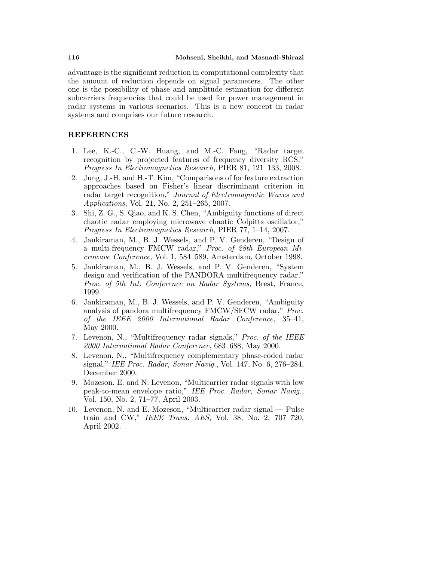advantage is the significant reduction in computational complexity that the amount of reduction depends on signal parameters. The other one is the possibility of phase and amplitude estimation for different subcarriers frequencies that could be used for power management in radar systems in various scenarios. This is a new concept in radar systems and comprises our future research.

#### **REFERENCES**

- 1. Lee, K.-C., C.-W. Huang, and M.-C. Fang, "Radar target recognition by projected features of frequency diversity RCS," Progress In Electromagnetics Research, PIER 81, 121–133, 2008.
- 2. Jung, J.-H. and H.-T. Kim, "Comparisons of for feature extraction approaches based on Fisher's linear discriminant criterion in radar target recognition," Journal of Electromagnetic Waves and Applications, Vol. 21, No. 2, 251–265, 2007.
- 3. Shi, Z. G., S. Qiao, and K. S. Chen, "Ambiguity functions of direct chaotic radar employing microwave chaotic Colpitts oscillator," Progress In Electromagnetics Research, PIER 77, 1–14, 2007.
- 4. Jankiraman, M., B. J. Wessels, and P. V. Genderen, "Design of a multi-frequency FMCW radar," Proc. of 28th European Microwave Conference, Vol. 1, 584–589, Amsterdam, October 1998.
- 5. Jankiraman, M., B. J. Wessels, and P. V. Genderen, "System" design and verification of the PANDORA multifrequency radar," Proc. of 5th Int. Conference on Radar Systems, Brest, France, 1999.
- 6. Jankiraman, M., B. J. Wessels, andP. V. Genderen, "Ambiguity analysis of pandora multifrequency FMCW/SFCW radar," Proc. of the IEEE 2000 International Radar Conference, 35–41, May 2000.
- 7. Levenon, N., "Multifrequency radar signals," Proc. of the IEEE 2000 International Radar Conference, 683–688, May 2000.
- 8. Levenon, N., "Multifrequency complementary phase-coded radar signal," IEE Proc. Radar, Sonar Navig., Vol. 147, No. 6, 276–284, December 2000.
- 9. Mozeson, E. and N. Levenon, "Multicarrier radar signals with low peak-to-mean envelope ratio," IEE Proc. Radar, Sonar Navig., Vol. 150, No. 2, 71–77, April 2003.
- 10. Levenon, N. and E. Mozeson, "Multicarrier radar signal Pulse train and CW," IEEE Trans. AES, Vol. 38, No. 2, 707-720, April 2002.